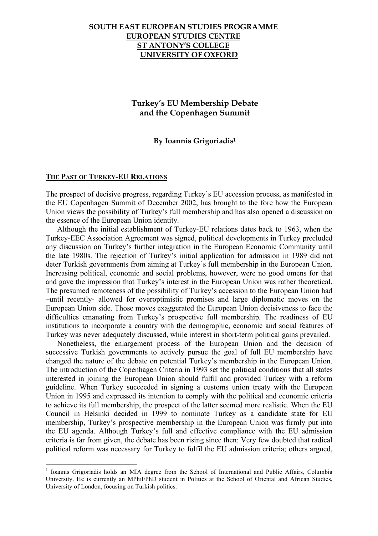# **Turkey's EU Membership Debate and the Copenhagen Summit**

### **By Ioannis Grigoriadis1**

#### **THE PAST OF TURKEY-EU RELATIONS**

The prospect of decisive progress, regarding Turkey's EU accession process, as manifested in the EU Copenhagen Summit of December 2002, has brought to the fore how the European Union views the possibility of Turkey's full membership and has also opened a discussion on the essence of the European Union identity.

Although the initial establishment of Turkey-EU relations dates back to 1963, when the Turkey-EEC Association Agreement was signed, political developments in Turkey precluded any discussion on Turkey's further integration in the European Economic Community until the late 1980s. The rejection of Turkey's initial application for admission in 1989 did not deter Turkish governments from aiming at Turkey's full membership in the European Union. Increasing political, economic and social problems, however, were no good omens for that and gave the impression that Turkey's interest in the European Union was rather theoretical. The presumed remoteness of the possibility of Turkey's accession to the European Union had –until recently- allowed for overoptimistic promises and large diplomatic moves on the European Union side. Those moves exaggerated the European Union decisiveness to face the difficulties emanating from Turkey's prospective full membership. The readiness of EU institutions to incorporate a country with the demographic, economic and social features of Turkey was never adequately discussed, while interest in short-term political gains prevailed.

Nonetheless, the enlargement process of the European Union and the decision of successive Turkish governments to actively pursue the goal of full EU membership have changed the nature of the debate on potential Turkey's membership in the European Union. The introduction of the Copenhagen Criteria in 1993 set the political conditions that all states interested in joining the European Union should fulfil and provided Turkey with a reform guideline. When Turkey succeeded in signing a customs union treaty with the European Union in 1995 and expressed its intention to comply with the political and economic criteria to achieve its full membership, the prospect of the latter seemed more realistic. When the EU Council in Helsinki decided in 1999 to nominate Turkey as a candidate state for EU membership, Turkey's prospective membership in the European Union was firmly put into the EU agenda. Although Turkey's full and effective compliance with the EU admission criteria is far from given, the debate has been rising since then: Very few doubted that radical political reform was necessary for Turkey to fulfil the EU admission criteria; others argued,

 $\frac{1}{1}$  $<sup>1</sup>$  Ioannis Grigoriadis holds an MIA degree from the School of International and Public Affairs. Columbia</sup> University. He is currently an MPhil/PhD student in Politics at the School of Oriental and African Studies, University of London, focusing on Turkish politics.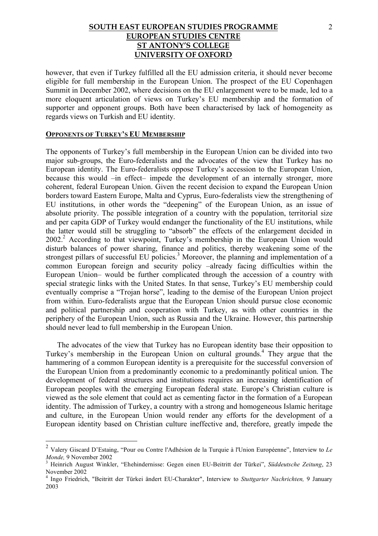however, that even if Turkey fulfilled all the EU admission criteria, it should never become eligible for full membership in the European Union. The prospect of the EU Copenhagen Summit in December 2002, where decisions on the EU enlargement were to be made, led to a more eloquent articulation of views on Turkey's EU membership and the formation of supporter and opponent groups. Both have been characterised by lack of homogeneity as regards views on Turkish and EU identity.

#### **OPPONENTS OF TURKEY'S EU MEMBERSHIP**

The opponents of Turkey's full membership in the European Union can be divided into two major sub-groups, the Euro-federalists and the advocates of the view that Turkey has no European identity. The Euro-federalists oppose Turkey's accession to the European Union, because this would –in effect– impede the development of an internally stronger, more coherent, federal European Union. Given the recent decision to expand the European Union borders toward Eastern Europe, Malta and Cyprus, Euro-federalists view the strengthening of EU institutions, in other words the "deepening" of the European Union, as an issue of absolute priority. The possible integration of a country with the population, territorial size and per capita GDP of Turkey would endanger the functionality of the EU institutions, while the latter would still be struggling to "absorb" the effects of the enlargement decided in 2002.<sup>2</sup> According to that viewpoint, Turkey's membership in the European Union would disturb balances of power sharing, finance and politics, thereby weakening some of the strongest pillars of successful EU policies.<sup>3</sup> Moreover, the planning and implementation of a common European foreign and security policy –already facing difficulties within the European Union– would be further complicated through the accession of a country with special strategic links with the United States. In that sense, Turkey's EU membership could eventually comprise a "Trojan horse", leading to the demise of the European Union project from within. Euro-federalists argue that the European Union should pursue close economic and political partnership and cooperation with Turkey, as with other countries in the periphery of the European Union, such as Russia and the Ukraine. However, this partnership should never lead to full membership in the European Union.

The advocates of the view that Turkey has no European identity base their opposition to Turkey's membership in the European Union on cultural grounds.<sup>4</sup> They argue that the hammering of a common European identity is a prerequisite for the successful conversion of the European Union from a predominantly economic to a predominantly political union. The development of federal structures and institutions requires an increasing identification of European peoples with the emerging European federal state. Europe's Christian culture is viewed as the sole element that could act as cementing factor in the formation of a European identity. The admission of Turkey, a country with a strong and homogeneous Islamic heritage and culture, in the European Union would render any efforts for the development of a European identity based on Christian culture ineffective and, therefore, greatly impede the

 <sup>2</sup> Valery Giscard D'Estaing, "Pour ou Contre l'Adhésion de la Turquie à l'Union Européenne", Interview to *Le Monde*. 9 November 2002

Heinrich August Winkler, "Ehehindernisse: Gegen einen EU-Beitritt der Türkei", *Süddeutsche Zeitung*, 23 November 2002

<sup>4</sup> Ingo Friedrich, "Beitritt der Türkei ändert EU-Charakter", Interview to *Stuttgarter Nachrichten,* 9 January 2003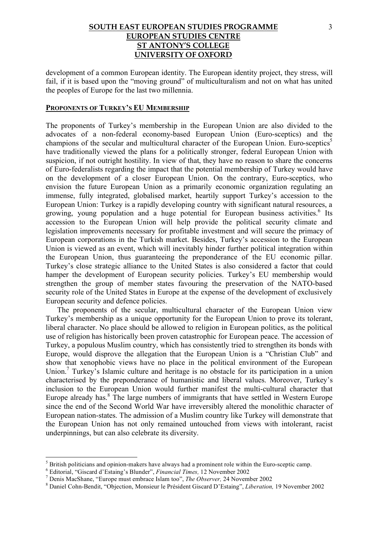development of a common European identity. The European identity project, they stress, will fail, if it is based upon the "moving ground" of multiculturalism and not on what has united the peoples of Europe for the last two millennia.

### **PROPONENTS OF TURKEY'S EU MEMBERSHIP**

The proponents of Turkey's membership in the European Union are also divided to the advocates of a non-federal economy-based European Union (Euro-sceptics) and the champions of the secular and multicultural character of the European Union. Euro-sceptics<sup>5</sup> have traditionally viewed the plans for a politically stronger, federal European Union with suspicion, if not outright hostility. In view of that, they have no reason to share the concerns of Euro-federalists regarding the impact that the potential membership of Turkey would have on the development of a closer European Union. On the contrary, Euro-sceptics, who envision the future European Union as a primarily economic organization regulating an immense, fully integrated, globalised market, heartily support Turkey's accession to the European Union: Turkey is a rapidly developing country with significant natural resources, a growing, young population and a huge potential for European business activities.<sup>6</sup> Its accession to the European Union will help provide the political security climate and legislation improvements necessary for profitable investment and will secure the primacy of European corporations in the Turkish market. Besides, Turkey's accession to the European Union is viewed as an event, which will inevitably hinder further political integration within the European Union, thus guaranteeing the preponderance of the EU economic pillar. Turkey's close strategic alliance to the United States is also considered a factor that could hamper the development of European security policies. Turkey's EU membership would strengthen the group of member states favouring the preservation of the NATO-based security role of the United States in Europe at the expense of the development of exclusively European security and defence policies.

The proponents of the secular, multicultural character of the European Union view Turkey's membership as a unique opportunity for the European Union to prove its tolerant, liberal character. No place should be allowed to religion in European politics, as the political use of religion has historically been proven catastrophic for European peace. The accession of Turkey, a populous Muslim country, which has consistently tried to strengthen its bonds with Europe, would disprove the allegation that the European Union is a "Christian Club" and show that xenophobic views have no place in the political environment of the European Union.<sup>7</sup> Turkey's Islamic culture and heritage is no obstacle for its participation in a union characterised by the preponderance of humanistic and liberal values. Moreover, Turkey's inclusion to the European Union would further manifest the multi-cultural character that Europe already has. $8$  The large numbers of immigrants that have settled in Western Europe since the end of the Second World War have irreversibly altered the monolithic character of European nation-states. The admission of a Muslim country like Turkey will demonstrate that the European Union has not only remained untouched from views with intolerant, racist underpinnings, but can also celebrate its diversity.

 <sup>5</sup>  $<sup>5</sup>$  British politicians and opinion-makers have always had a prominent role within the Euro-sceptic camp.</sup>

Editorial, "Giscard d'Estaing's Blunder", *Financial Times,* 12 November 2002 <sup>7</sup>

Denis MacShane, "Europe must embrace Islam too", *The Observer,* 24 November 2002 <sup>8</sup>

Daniel Cohn-Bendit, "Objection, Monsieur le Président Giscard D'Estaing", *Liberation,* 19 November 2002